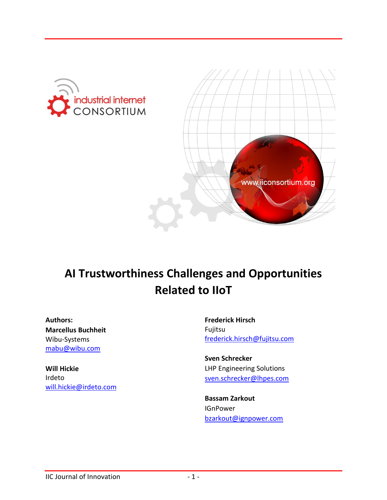



# **AI Trustworthiness Challenges and Opportunities Related to IIoT**

**Authors: Marcellus Buchheit** Wibu-Systems [mabu@wibu.com](mailto:mabu@wibu.com)

**Will Hickie** Irdeto [will.hickie@irdeto.com](mailto:will.hickie@irdeto.com)

**Frederick Hirsch** Fujitsu [frederick.hirsch@fujitsu.com](mailto:frederick.hirsch@fujitsu.com)

**Sven Schrecker** LHP Engineering Solutions [sven.schrecker@lhpes.com](mailto:sven.schrecker@lhpes.com)

**Bassam Zarkout IGnPower** [bzarkout@ignpower.com](mailto:bzarkout@ignpower.com)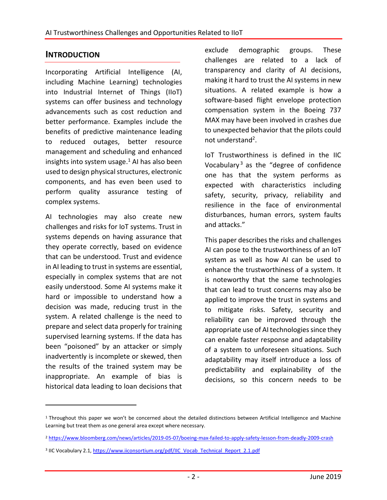## **INTRODUCTION**

Incorporating Artificial Intelligence (AI, including Machine Learning) technologies into Industrial Internet of Things (IIoT) systems can offer business and technology advancements such as cost reduction and better performance. Examples include the benefits of predictive maintenance leading to reduced outages, better resource management and scheduling and enhanced insights into system usage. <sup>1</sup> AI has also been used to design physical structures, electronic components, and has even been used to perform quality assurance testing of complex systems.

AI technologies may also create new challenges and risks for IoT systems. Trust in systems depends on having assurance that they operate correctly, based on evidence that can be understood. Trust and evidence in AI leading to trust in systems are essential, especially in complex systems that are not easily understood. Some AI systems make it hard or impossible to understand how a decision was made, reducing trust in the system. A related challenge is the need to prepare and select data properly for training supervised learning systems. If the data has been "poisoned" by an attacker or simply inadvertently is incomplete or skewed, then the results of the trained system may be inappropriate. An example of bias is historical data leading to loan decisions that

 $\overline{a}$ 

exclude demographic groups. These challenges are related to a lack of transparency and clarity of AI decisions, making it hard to trust the AI systems in new situations. A related example is how a software-based flight envelope protection compensation system in the Boeing 737 MAX may have been involved in crashes due to unexpected behavior that the pilots could not understand<sup>2</sup>.

IoT Trustworthiness is defined in the IIC Vocabulary<sup>3</sup> as the "degree of confidence one has that the system performs as expected with characteristics including safety, security, privacy, reliability and resilience in the face of environmental disturbances, human errors, system faults and attacks."

This paper describes the risks and challenges AI can pose to the trustworthiness of an IoT system as well as how AI can be used to enhance the trustworthiness of a system. It is noteworthy that the same technologies that can lead to trust concerns may also be applied to improve the trust in systems and to mitigate risks. Safety, security and reliability can be improved through the appropriate use of AI technologies since they can enable faster response and adaptability of a system to unforeseen situations. Such adaptability may itself introduce a loss of predictability and explainability of the decisions, so this concern needs to be

<sup>1</sup> Throughout this paper we won't be concerned about the detailed distinctions between Artificial Intelligence and Machine Learning but treat them as one general area except where necessary.

<sup>2</sup> <https://www.bloomberg.com/news/articles/2019-05-07/boeing-max-failed-to-apply-safety-lesson-from-deadly-2009-crash>

<sup>&</sup>lt;sup>3</sup> IIC Vocabulary 2.1[, https://www.iiconsortium.org/pdf/IIC\\_Vocab\\_Technical\\_Report\\_2.1.pdf](https://www.iiconsortium.org/pdf/IIC_Vocab_Technical_Report_2.1.pdf)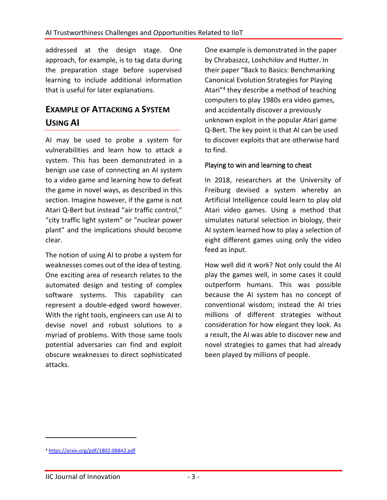addressed at the design stage. One approach, for example, is to tag data during the preparation stage before supervised learning to include additional information that is useful for later explanations.

## **EXAMPLE OF ATTACKING A SYSTEM USING AI**

AI may be used to probe a system for vulnerabilities and learn how to attack a system. This has been demonstrated in a benign use case of connecting an AI system to a video game and learning how to defeat the game in novel ways, as described in this section. Imagine however, if the game is not Atari Q-Bert but instead "air traffic control," "city traffic light system" or "nuclear power plant" and the implications should become clear.

The notion of using AI to probe a system for weaknesses comes out of the idea of testing. One exciting area of research relates to the automated design and testing of complex software systems. This capability can represent a double-edged sword however. With the right tools, engineers can use AI to devise novel and robust solutions to a myriad of problems. With those same tools potential adversaries can find and exploit obscure weaknesses to direct sophisticated attacks.

One example is demonstrated in the paper by Chrabaszcz, Loshchilov and Hutter. In their paper "Back to Basics: Benchmarking Canonical Evolution Strategies for Playing Atari"<sup>4</sup> they describe a method of teaching computers to play 1980s era video games, and accidentally discover a previously unknown exploit in the popular Atari game Q-Bert. The key point is that AI can be used to discover exploits that are otherwise hard to find.

### Playing to win and learning to cheat

In 2018, researchers at the University of Freiburg devised a system whereby an Artificial Intelligence could learn to play old Atari video games. Using a method that simulates natural selection in biology, their AI system learned how to play a selection of eight different games using only the video feed as input.

How well did it work? Not only could the AI play the games well, in some cases it could outperform humans. This was possible because the AI system has no concept of conventional wisdom; instead the AI tries millions of different strategies without consideration for how elegant they look. As a result, the AI was able to discover new and novel strategies to games that had already been played by millions of people.

<sup>4</sup> <https://arxiv.org/pdf/1802.08842.pdf>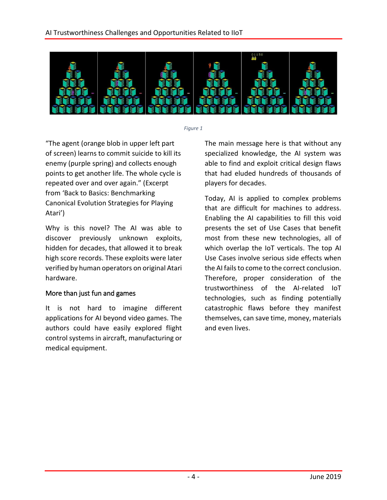

*Figure 1*

"The agent (orange blob in upper left part of screen) learns to commit suicide to kill its enemy (purple spring) and collects enough points to get another life. The whole cycle is repeated over and over again." (Excerpt from 'Back to Basics: Benchmarking Canonical Evolution Strategies for Playing Atari')

Why is this novel? The AI was able to discover previously unknown exploits, hidden for decades, that allowed it to break high score records. These exploits were later verified by human operators on original Atari hardware.

### More than just fun and games

It is not hard to imagine different applications for AI beyond video games. The authors could have easily explored flight control systems in aircraft, manufacturing or medical equipment.

The main message here is that without any specialized knowledge, the AI system was able to find and exploit critical design flaws that had eluded hundreds of thousands of players for decades.

Today, AI is applied to complex problems that are difficult for machines to address. Enabling the AI capabilities to fill this void presents the set of Use Cases that benefit most from these new technologies, all of which overlap the IoT verticals. The top AI Use Cases involve serious side effects when the AI fails to come to the correct conclusion. Therefore, proper consideration of the trustworthiness of the AI-related IoT technologies, such as finding potentially catastrophic flaws before they manifest themselves, can save time, money, materials and even lives.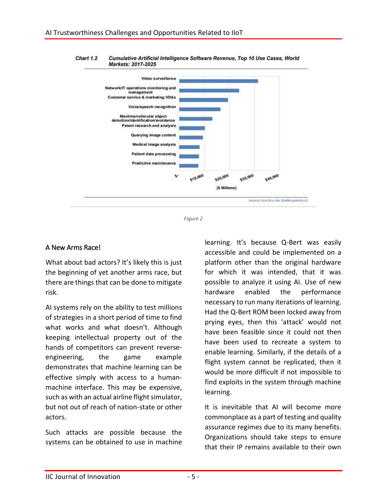



*Figure 2*

#### A New Arms Race!

What about bad actors? It's likely this is just the beginning of yet another arms race, but there are things that can be done to mitigate risk.

AI systems rely on the ability to test millions of strategies in a short period of time to find what works and what doesn't. Although keeping intellectual property out of the hands of competitors can prevent reverseengineering, the game example demonstrates that machine learning can be effective simply with access to a humanmachine interface. This may be expensive, such as with an actual airline flight simulator, but not out of reach of nation-state or other actors.

Such attacks are possible because the systems can be obtained to use in machine

learning. It's because Q-Bert was easily accessible and could be implemented on a platform other than the original hardware for which it was intended, that it was possible to analyze it using AI. Use of new hardware enabled the performance necessary to run many iterations of learning. Had the Q-Bert ROM been locked away from prying eyes, then this 'attack' would not have been feasible since it could not then have been used to recreate a system to enable learning. Similarly, if the details of a flight system cannot be replicated, then it would be more difficult if not impossible to find exploits in the system through machine learning.

It is inevitable that AI will become more commonplace as a part of testing and quality assurance regimes due to its many benefits. Organizations should take steps to ensure that their IP remains available to their own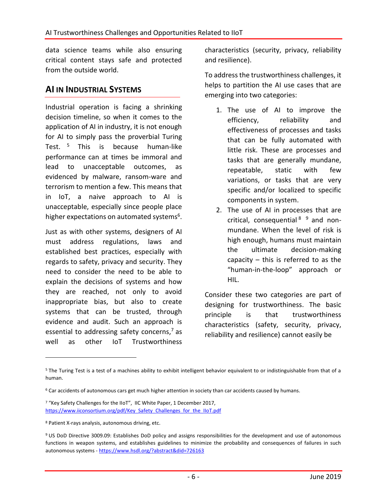data science teams while also ensuring critical content stays safe and protected from the outside world.

## **AI IN INDUSTRIAL SYSTEMS**

Industrial operation is facing a shrinking decision timeline, so when it comes to the application of AI in industry, it is not enough for AI to simply pass the proverbial Turing Test. <sup>5</sup> This is because human-like performance can at times be immoral and lead to unacceptable outcomes, as evidenced by malware, ransom-ware and terrorism to mention a few. This means that in IoT, a naive approach to AI is unacceptable, especially since people place higher expectations on automated systems<sup>6</sup>.

Just as with other systems, designers of AI must address regulations, laws and established best practices, especially with regards to safety, privacy and security. They need to consider the need to be able to explain the decisions of systems and how they are reached, not only to avoid inappropriate bias, but also to create systems that can be trusted, through evidence and audit. Such an approach is essential to addressing safety concerns, <sup>7</sup> as well as other IoT Trustworthiness

characteristics (security, privacy, reliability and resilience).

To address the trustworthiness challenges, it helps to partition the AI use cases that are emerging into two categories:

- 1. The use of AI to improve the efficiency, reliability and effectiveness of processes and tasks that can be fully automated with little risk. These are processes and tasks that are generally mundane, repeatable, static with few variations, or tasks that are very specific and/or localized to specific components in system.
- 2. The use of AI in processes that are critical, consequential  $8^{9}$  and nonmundane. When the level of risk is high enough, humans must maintain the ultimate decision-making capacity – this is referred to as the "human-in-the-loop" approach or HIL.

Consider these two categories are part of designing for trustworthiness. The basic principle is that trustworthiness characteristics (safety, security, privacy, reliability and resilience) cannot easily be

<sup>&</sup>lt;sup>5</sup> The Turing Test is a test of a machines ability to exhibit intelligent behavior equivalent to or indistinguishable from that of a human.

<sup>6</sup> Car accidents of autonomous cars get much higher attention in society than car accidents caused by humans.

<sup>7</sup> "Key Safety Challenges for the IIoT", IIC White Paper, 1 December 2017, [https://www.iiconsortium.org/pdf/Key\\_Safety\\_Challenges\\_for\\_the\\_IIoT.pdf](https://www.iiconsortium.org/pdf/Key_Safety_Challenges_for_the_IIoT.pdf)

<sup>8</sup> Patient X-rays analysis, autonomous driving, etc.

<sup>9</sup> US DoD Directive 3009.09: Establishes DoD policy and assigns responsibilities for the development and use of autonomous functions in weapon systems, and establishes guidelines to minimize the probability and consequences of failures in such autonomous systems - <https://www.hsdl.org/?abstract&did=726163>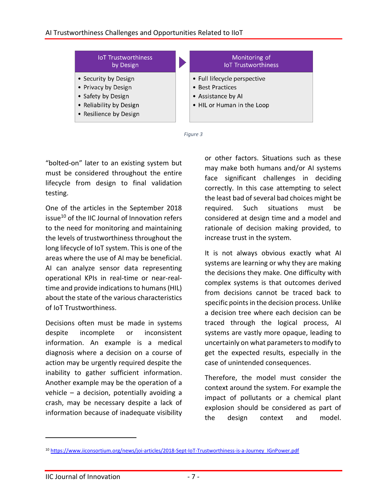



"bolted-on" later to an existing system but must be considered throughout the entire lifecycle from design to final validation testing.

One of the articles in the September 2018 issue<sup>10</sup> of the IIC Journal of Innovation refers to the need for monitoring and maintaining the levels of trustworthiness throughout the long lifecycle of IoT system. This is one of the areas where the use of AI may be beneficial. AI can analyze sensor data representing operational KPIs in real-time or near-realtime and provide indications to humans (HIL) about the state of the various characteristics of IoT Trustworthiness.

Decisions often must be made in systems despite incomplete or inconsistent information. An example is a medical diagnosis where a decision on a course of action may be urgently required despite the inability to gather sufficient information. Another example may be the operation of a vehicle – a decision, potentially avoiding a crash, may be necessary despite a lack of information because of inadequate visibility

or other factors. Situations such as these may make both humans and/or AI systems face significant challenges in deciding correctly. In this case attempting to select the least bad of several bad choices might be required. Such situations must be considered at design time and a model and rationale of decision making provided, to increase trust in the system.

It is not always obvious exactly what AI systems are learning or why they are making the decisions they make. One difficulty with complex systems is that outcomes derived from decisions cannot be traced back to specific points in the decision process. Unlike a decision tree where each decision can be traced through the logical process, AI systems are vastly more opaque, leading to uncertainly on what parameters to modify to get the expected results, especially in the case of unintended consequences.

Therefore, the model must consider the context around the system. For example the impact of pollutants or a chemical plant explosion should be considered as part of the design context and model.

<sup>10</sup> [https://www.iiconsortium.org/news/joi-articles/2018-Sept-IoT-Trustworthiness-is-a-Journey\\_IGnPower.pdf](https://www.iiconsortium.org/news/joi-articles/2018-Sept-IoT-Trustworthiness-is-a-Journey_IGnPower.pdf)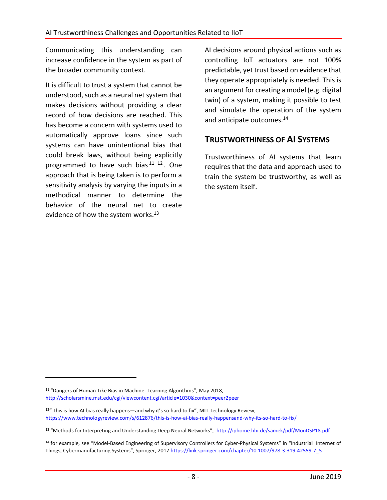Communicating this understanding can increase confidence in the system as part of the broader community context.

It is difficult to trust a system that cannot be understood, such as a neural net system that makes decisions without providing a clear record of how decisions are reached. This has become a concern with systems used to automatically approve loans since such systems can have unintentional bias that could break laws, without being explicitly programmed to have such bias<sup>11</sup><sup>12</sup>. One approach that is being taken is to perform a sensitivity analysis by varying the inputs in a methodical manner to determine the behavior of the neural net to create evidence of how the system works.<sup>13</sup>

AI decisions around physical actions such as controlling IoT actuators are not 100% predictable, yet trust based on evidence that they operate appropriately is needed. This is an argument for creating a model (e.g. digital twin) of a system, making it possible to test and simulate the operation of the system and anticipate outcomes. 14

## **TRUSTWORTHINESS OF AI SYSTEMS**

Trustworthiness of AI systems that learn requires that the data and approach used to train the system be trustworthy, as well as the system itself.

<sup>11</sup> "Dangers of Human-Like Bias in Machine- Learning Algorithms", May 2018, <http://scholarsmine.mst.edu/cgi/viewcontent.cgi?article=1030&context=peer2peer>

 $12^{\mu}$  This is how AI bias really happens—and why it's so hard to fix", MIT Technology Review, <https://www.technologyreview.com/s/612876/this-is-how-ai-bias-really-happensand-why-its-so-hard-to-fix/>

<sup>13 &</sup>quot;Methods for Interpreting and Understanding Deep Neural Networks", <http://iphome.hhi.de/samek/pdf/MonDSP18.pdf>

<sup>&</sup>lt;sup>14</sup> for example, see "Model-Based Engineering of Supervisory Controllers for Cyber-Physical Systems" in "Industrial Internet of Things, Cybermanufacturing Systems", Springer, 2017 [https://link.springer.com/chapter/10.1007/978-3-319-42559-7\\_5](https://link.springer.com/chapter/10.1007/978-3-319-42559-7_5)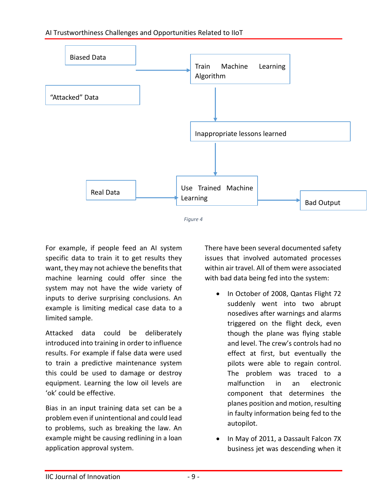

For example, if people feed an AI system specific data to train it to get results they want, they may not achieve the benefits that machine learning could offer since the system may not have the wide variety of inputs to derive surprising conclusions. An example is limiting medical case data to a limited sample.

Attacked data could be deliberately introduced into training in order to influence results. For example if false data were used to train a predictive maintenance system this could be used to damage or destroy equipment. Learning the low oil levels are 'ok' could be effective.

Bias in an input training data set can be a problem even if unintentional and could lead to problems, such as breaking the law. An example might be causing redlining in a loan application approval system.

There have been several documented safety issues that involved automated processes within air travel. All of them were associated with bad data being fed into the system:

- In October of 2008, Qantas Flight 72 suddenly went into two abrupt nosedives after warnings and alarms triggered on the flight deck, even though the plane was flying stable and level. The crew's controls had no effect at first, but eventually the pilots were able to regain control. The problem was traced to a malfunction in an electronic component that determines the planes position and motion, resulting in faulty information being fed to the autopilot.
- In May of 2011, a Dassault Falcon 7X business jet was descending when it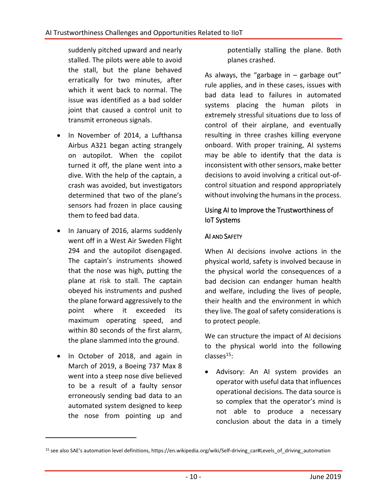suddenly pitched upward and nearly stalled. The pilots were able to avoid the stall, but the plane behaved erratically for two minutes, after which it went back to normal. The issue was identified as a bad solder joint that caused a control unit to transmit erroneous signals.

- In November of 2014, a Lufthansa Airbus A321 began acting strangely on autopilot. When the copilot turned it off, the plane went into a dive. With the help of the captain, a crash was avoided, but investigators determined that two of the plane's sensors had frozen in place causing them to feed bad data.
- In January of 2016, alarms suddenly went off in a West Air Sweden Flight 294 and the autopilot disengaged. The captain's instruments showed that the nose was high, putting the plane at risk to stall. The captain obeyed his instruments and pushed the plane forward aggressively to the point where it exceeded its maximum operating speed, and within 80 seconds of the first alarm, the plane slammed into the ground.
- In October of 2018, and again in March of 2019, a Boeing 737 Max 8 went into a steep nose dive believed to be a result of a faulty sensor erroneously sending bad data to an automated system designed to keep the nose from pointing up and

 $\overline{a}$ 

potentially stalling the plane. Both planes crashed.

As always, the "garbage in  $-$  garbage out" rule applies, and in these cases, issues with bad data lead to failures in automated systems placing the human pilots in extremely stressful situations due to loss of control of their airplane, and eventually resulting in three crashes killing everyone onboard. With proper training, AI systems may be able to identify that the data is inconsistent with other sensors, make better decisions to avoid involving a critical out-ofcontrol situation and respond appropriately without involving the humans in the process.

## Using AI to Improve the Trustworthiness of IoT Systems

## AI AND SAFETY

When AI decisions involve actions in the physical world, safety is involved because in the physical world the consequences of a bad decision can endanger human health and welfare, including the lives of people, their health and the environment in which they live. The goal of safety considerations is to protect people.

We can structure the impact of AI decisions to the physical world into the following  $\text{classes}^{15}$ :

 Advisory: An AI system provides an operator with useful data that influences operational decisions. The data source is so complex that the operator's mind is not able to produce a necessary conclusion about the data in a timely

<sup>15</sup> see also SAE's automation level definitions, https://en.wikipedia.org/wiki/Self-driving\_car#Levels\_of\_driving\_automation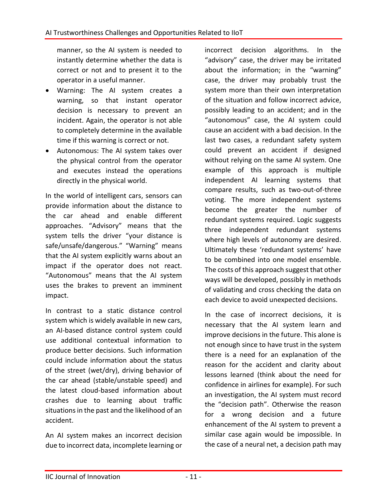manner, so the AI system is needed to instantly determine whether the data is correct or not and to present it to the operator in a useful manner.

- Warning: The AI system creates a warning, so that instant operator decision is necessary to prevent an incident. Again, the operator is not able to completely determine in the available time if this warning is correct or not.
- Autonomous: The AI system takes over the physical control from the operator and executes instead the operations directly in the physical world.

In the world of intelligent cars, sensors can provide information about the distance to the car ahead and enable different approaches. "Advisory" means that the system tells the driver "your distance is safe/unsafe/dangerous." "Warning" means that the AI system explicitly warns about an impact if the operator does not react. "Autonomous" means that the AI system uses the brakes to prevent an imminent impact.

In contrast to a static distance control system which is widely available in new cars, an AI-based distance control system could use additional contextual information to produce better decisions. Such information could include information about the status of the street (wet/dry), driving behavior of the car ahead (stable/unstable speed) and the latest cloud-based information about crashes due to learning about traffic situations in the past and the likelihood of an accident.

An AI system makes an incorrect decision due to incorrect data, incomplete learning or

incorrect decision algorithms. In the "advisory" case, the driver may be irritated about the information; in the "warning" case, the driver may probably trust the system more than their own interpretation of the situation and follow incorrect advice, possibly leading to an accident; and in the "autonomous" case, the AI system could cause an accident with a bad decision. In the last two cases, a redundant safety system could prevent an accident if designed without relying on the same AI system. One example of this approach is multiple independent AI learning systems that compare results, such as two-out-of-three voting. The more independent systems become the greater the number of redundant systems required. Logic suggests three independent redundant systems where high levels of autonomy are desired. Ultimately these 'redundant systems' have to be combined into one model ensemble. The costs of this approach suggest that other ways will be developed, possibly in methods of validating and cross checking the data on each device to avoid unexpected decisions.

In the case of incorrect decisions, it is necessary that the AI system learn and improve decisions in the future. This alone is not enough since to have trust in the system there is a need for an explanation of the reason for the accident and clarity about lessons learned (think about the need for confidence in airlines for example). For such an investigation, the AI system must record the "decision path". Otherwise the reason for a wrong decision and a future enhancement of the AI system to prevent a similar case again would be impossible. In the case of a neural net, a decision path may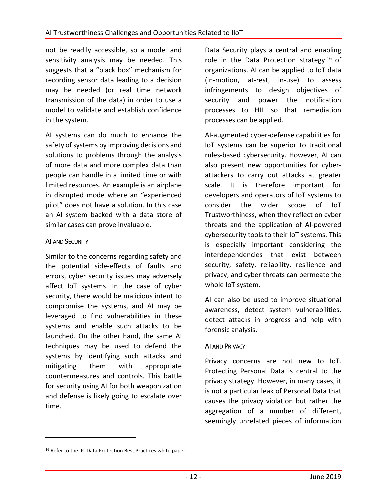not be readily accessible, so a model and sensitivity analysis may be needed. This suggests that a "black box" mechanism for recording sensor data leading to a decision may be needed (or real time network transmission of the data) in order to use a model to validate and establish confidence in the system.

AI systems can do much to enhance the safety of systems by improving decisions and solutions to problems through the analysis of more data and more complex data than people can handle in a limited time or with limited resources. An example is an airplane in disrupted mode where an "experienced pilot" does not have a solution. In this case an AI system backed with a data store of similar cases can prove invaluable.

#### AI AND SECURITY

 $\overline{a}$ 

Similar to the concerns regarding safety and the potential side-effects of faults and errors, cyber security issues may adversely affect IoT systems. In the case of cyber security, there would be malicious intent to compromise the systems, and AI may be leveraged to find vulnerabilities in these systems and enable such attacks to be launched. On the other hand, the same AI techniques may be used to defend the systems by identifying such attacks and mitigating them with appropriate countermeasures and controls. This battle for security using AI for both weaponization and defense is likely going to escalate over time.

Data Security plays a central and enabling role in the Data Protection strategy  $16$  of organizations. AI can be applied to IoT data (in-motion, at-rest, in-use) to assess infringements to design objectives of security and power the notification processes to HIL so that remediation processes can be applied.

AI-augmented cyber-defense capabilities for IoT systems can be superior to traditional rules-based cybersecurity. However, AI can also present new opportunities for cyberattackers to carry out attacks at greater scale. It is therefore important for developers and operators of IoT systems to consider the wider scope of IoT Trustworthiness, when they reflect on cyber threats and the application of AI-powered cybersecurity tools to their IoT systems. This is especially important considering the interdependencies that exist between security, safety, reliability, resilience and privacy; and cyber threats can permeate the whole IoT system.

AI can also be used to improve situational awareness, detect system vulnerabilities, detect attacks in progress and help with forensic analysis.

#### AI AND PRIVACY

Privacy concerns are not new to IoT. Protecting Personal Data is central to the privacy strategy. However, in many cases, it is not a particular leak of Personal Data that causes the privacy violation but rather the aggregation of a number of different, seemingly unrelated pieces of information

<sup>&</sup>lt;sup>16</sup> Refer to the IIC Data Protection Best Practices white paper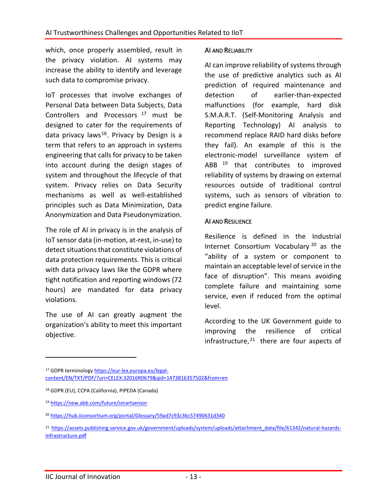which, once properly assembled, result in the privacy violation. AI systems may increase the ability to identify and leverage such data to compromise privacy.

IoT processes that involve exchanges of Personal Data between Data Subjects, Data Controllers and Processors <sup>17</sup> must be designed to cater for the requirements of data privacy laws<sup>18</sup>. Privacy by Design is a term that refers to an approach in systems engineering that calls for privacy to be taken into account during the design stages of system and throughout the lifecycle of that system. Privacy relies on Data Security mechanisms as well as well-established principles such as Data Minimization, Data Anonymization and Data Pseudonymization.

The role of AI in privacy is in the analysis of IoT sensor data (in-motion, at-rest, in-use) to detect situations that constitute violations of data protection requirements. This is critical with data privacy laws like the GDPR where tight notification and reporting windows (72 hours) are mandated for data privacy violations.

The use of AI can greatly augment the organization's ability to meet this important objective.

#### AI AND RELIABILITY

AI can improve reliability of systems through the use of predictive analytics such as AI prediction of required maintenance and detection of earlier-than-expected malfunctions (for example, hard disk S.M.A.R.T. (Self-Monitoring Analysis and Reporting Technology) AI analysis to recommend replace RAID hard disks before they fail). An example of this is the electronic-model surveillance system of ABB <sup>19</sup> that contributes to improved reliability of systems by drawing on external resources outside of traditional control systems, such as sensors of vibration to predict engine failure.

#### AI AND RESILIENCE

Resilience is defined in the Industrial Internet Consortium Vocabulary<sup>20</sup> as the "ability of a system or component to maintain an acceptable level of service in the face of disruption". This means avoiding complete failure and maintaining some service, even if reduced from the optimal level.

According to the UK Government guide to improving the resilience of critical infrastructure, <sup>21</sup> there are four aspects of

17 GDPR terminolog[y https://eur-lex.europa.eu/legal](https://eur-lex.europa.eu/legal-content/EN/TXT/PDF/?uri=CELEX:32016R0679&qid=1473816357502&from=en)[content/EN/TXT/PDF/?uri=CELEX:32016R0679&qid=1473816357502&from=en](https://eur-lex.europa.eu/legal-content/EN/TXT/PDF/?uri=CELEX:32016R0679&qid=1473816357502&from=en)

<sup>18</sup> GDPR (EU), CCPA (California), PIPEDA (Canada)

<sup>19</sup> <https://new.abb.com/future/smartsensor>

<sup>20</sup> <https://hub.iiconsortium.org/portal/Glossary/59ad7c93c36c57490631d340>

<sup>21</sup> [https://assets.publishing.service.gov.uk/government/uploads/system/uploads/attachment\\_data/file/61342/natural-hazards](https://assets.publishing.service.gov.uk/government/uploads/system/uploads/attachment_data/file/61342/natural-hazards-infrastructure.pdf)[infrastructure.pdf](https://assets.publishing.service.gov.uk/government/uploads/system/uploads/attachment_data/file/61342/natural-hazards-infrastructure.pdf)